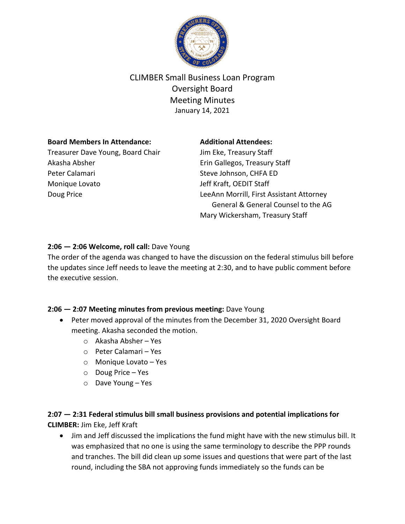

# CLIMBER Small Business Loan Program Oversight Board Meeting Minutes January 14, 2021

### **Board Members In Attendance:**

Treasurer Dave Young, Board Chair Akasha Absher Peter Calamari Monique Lovato Doug Price

### **Additional Attendees:**

Jim Eke, Treasury Staff Erin Gallegos, Treasury Staff Steve Johnson, CHFA ED Jeff Kraft, OEDIT Staff LeeAnn Morrill, First Assistant Attorney General & General Counsel to the AG Mary Wickersham, Treasury Staff

## **2:06 — 2:06 Welcome, roll call:** Dave Young

The order of the agenda was changed to have the discussion on the federal stimulus bill before the updates since Jeff needs to leave the meeting at 2:30, and to have public comment before the executive session.

### **2:06 — 2:07 Meeting minutes from previous meeting:** Dave Young

- Peter moved approval of the minutes from the December 31, 2020 Oversight Board meeting. Akasha seconded the motion.
	- o Akasha Absher Yes
	- o Peter Calamari Yes
	- o Monique Lovato Yes
	- o Doug Price Yes
	- o Dave Young Yes

# **2:07 — 2:31 Federal stimulus bill small business provisions and potential implications for CLIMBER:** Jim Eke, Jeff Kraft

• Jim and Jeff discussed the implications the fund might have with the new stimulus bill. It was emphasized that no one is using the same terminology to describe the PPP rounds and tranches. The bill did clean up some issues and questions that were part of the last round, including the SBA not approving funds immediately so the funds can be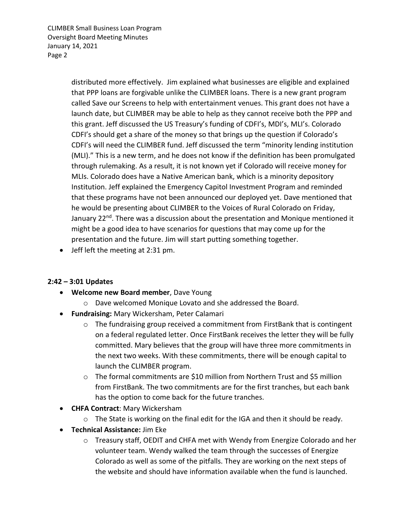CLIMBER Small Business Loan Program Oversight Board Meeting Minutes January 14, 2021 Page 2

> distributed more effectively. Jim explained what businesses are eligible and explained that PPP loans are forgivable unlike the CLIMBER loans. There is a new grant program called Save our Screens to help with entertainment venues. This grant does not have a launch date, but CLIMBER may be able to help as they cannot receive both the PPP and this grant. Jeff discussed the US Treasury's funding of CDFI's, MDI's, MLI's. Colorado CDFI's should get a share of the money so that brings up the question if Colorado's CDFI's will need the CLIMBER fund. Jeff discussed the term "minority lending institution (MLI)." This is a new term, and he does not know if the definition has been promulgated through rulemaking. As a result, it is not known yet if Colorado will receive money for MLIs. Colorado does have a Native American bank, which is a minority depository Institution. Jeff explained the Emergency Capitol Investment Program and reminded that these programs have not been announced our deployed yet. Dave mentioned that he would be presenting about CLIMBER to the Voices of Rural Colorado on Friday, January 22<sup>nd</sup>. There was a discussion about the presentation and Monique mentioned it might be a good idea to have scenarios for questions that may come up for the presentation and the future. Jim will start putting something together.

• Jeff left the meeting at 2:31 pm.

### **2:42 – 3:01 Updates**

- **Welcome new Board member**, Dave Young
	- o Dave welcomed Monique Lovato and she addressed the Board.
- **Fundraising:** Mary Wickersham, Peter Calamari
	- o The fundraising group received a commitment from FirstBank that is contingent on a federal regulated letter. Once FirstBank receives the letter they will be fully committed. Mary believes that the group will have three more commitments in the next two weeks. With these commitments, there will be enough capital to launch the CLIMBER program.
	- $\circ$  The formal commitments are \$10 million from Northern Trust and \$5 million from FirstBank. The two commitments are for the first tranches, but each bank has the option to come back for the future tranches.
- **CHFA Contract**: Mary Wickersham
	- $\circ$  The State is working on the final edit for the IGA and then it should be ready.
- **Technical Assistance:** Jim Eke
	- o Treasury staff, OEDIT and CHFA met with Wendy from Energize Colorado and her volunteer team. Wendy walked the team through the successes of Energize Colorado as well as some of the pitfalls. They are working on the next steps of the website and should have information available when the fund is launched.